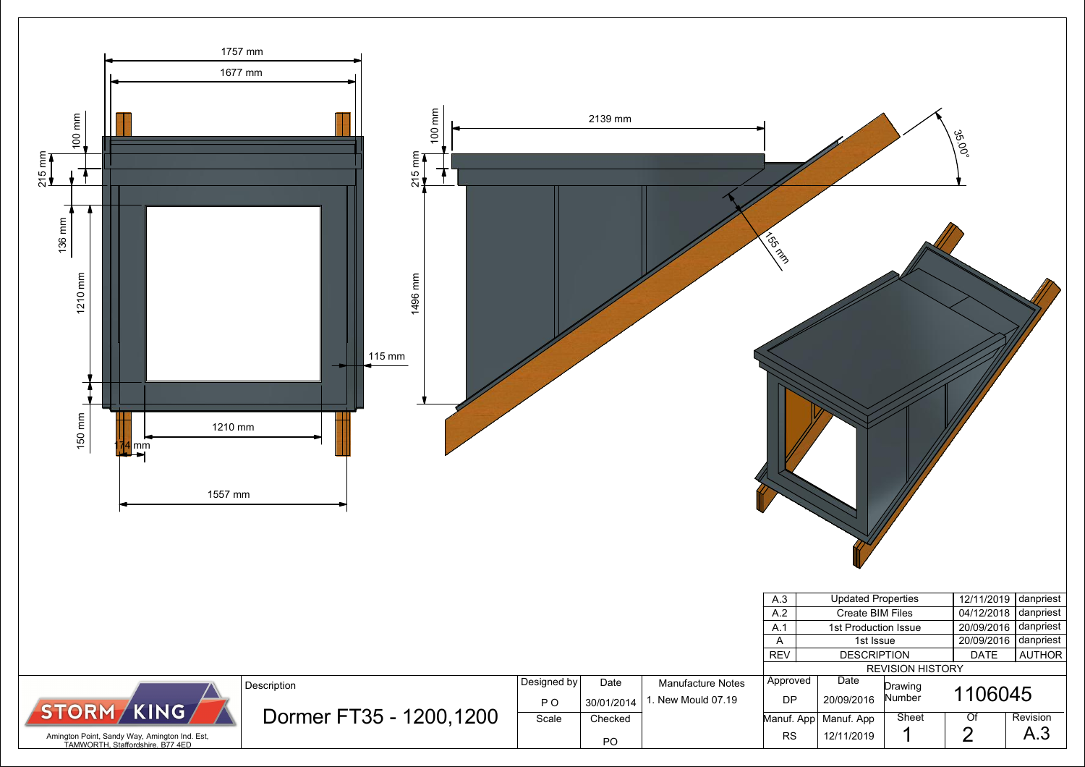